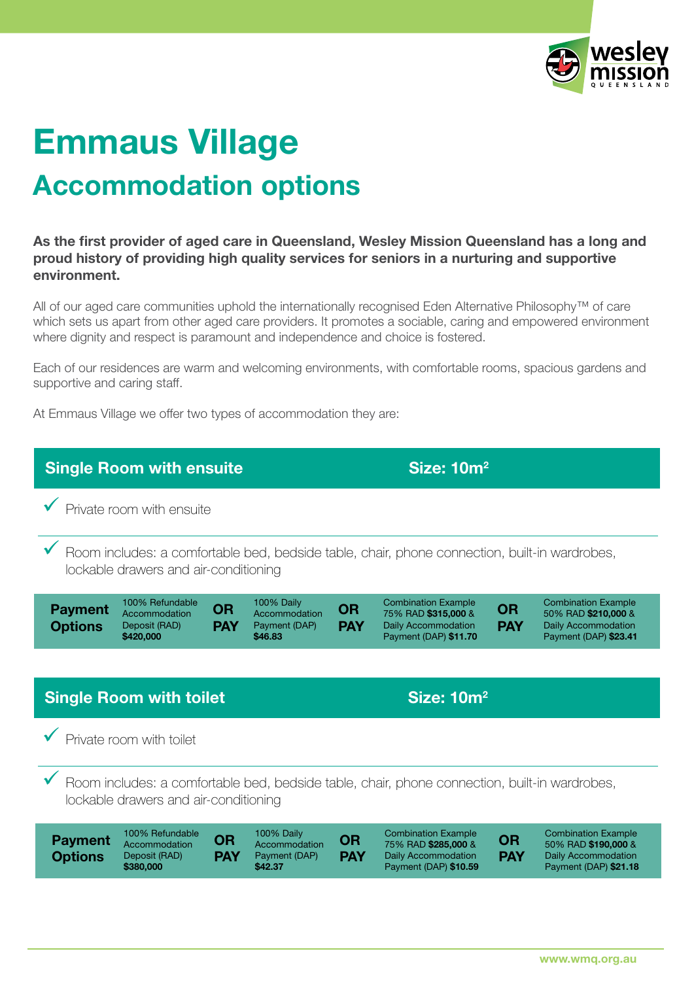

## Accommodation options Emmaus Village

As the first provider of aged care in Queensland, Wesley Mission Queensland has a long and proud history of providing high quality services for seniors in a nurturing and supportive environment.

All of our aged care communities uphold the internationally recognised Eden Alternative Philosophy™ of care which sets us apart from other aged care providers. It promotes a sociable, caring and empowered environment where dignity and respect is paramount and independence and choice is fostered.

Each of our residences are warm and welcoming environments, with comfortable rooms, spacious gardens and supportive and caring staff.

At Emmaus Village we offer two types of accommodation they are: